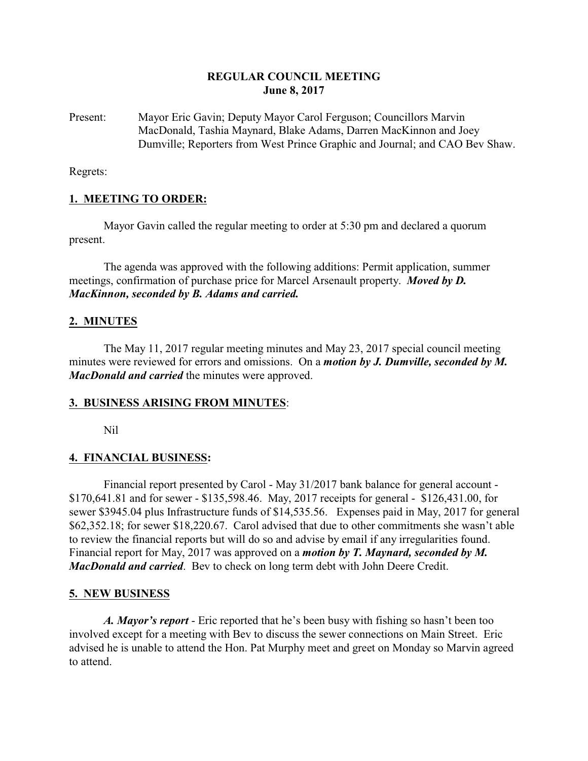## **REGULAR COUNCIL MEETING June 8, 2017**

Present: Mayor Eric Gavin; Deputy Mayor Carol Ferguson; Councillors Marvin MacDonald, Tashia Maynard, Blake Adams, Darren MacKinnon and Joey Dumville; Reporters from West Prince Graphic and Journal; and CAO Bev Shaw.

Regrets:

## **1. MEETING TO ORDER:**

Mayor Gavin called the regular meeting to order at 5:30 pm and declared a quorum present.

The agenda was approved with the following additions: Permit application, summer meetings, confirmation of purchase price for Marcel Arsenault property. *Moved by D. MacKinnon, seconded by B. Adams and carried.*

## **2. MINUTES**

The May 11, 2017 regular meeting minutes and May 23, 2017 special council meeting minutes were reviewed for errors and omissions. On a *motion by J. Dumville, seconded by M. MacDonald and carried* the minutes were approved.

## **3. BUSINESS ARISING FROM MINUTES**:

Nil

## **4. FINANCIAL BUSINESS:**

Financial report presented by Carol - May 31/2017 bank balance for general account - \$170,641.81 and for sewer - \$135,598.46. May, 2017 receipts for general - \$126,431.00, for sewer \$3945.04 plus Infrastructure funds of \$14,535.56. Expenses paid in May, 2017 for general \$62,352.18; for sewer \$18,220.67. Carol advised that due to other commitments she wasn't able to review the financial reports but will do so and advise by email if any irregularities found. Financial report for May, 2017 was approved on a *motion by T. Maynard, seconded by M. MacDonald and carried*. Bev to check on long term debt with John Deere Credit.

## **5. NEW BUSINESS**

*A. Mayor's report* - Eric reported that he's been busy with fishing so hasn't been too involved except for a meeting with Bev to discuss the sewer connections on Main Street. Eric advised he is unable to attend the Hon. Pat Murphy meet and greet on Monday so Marvin agreed to attend.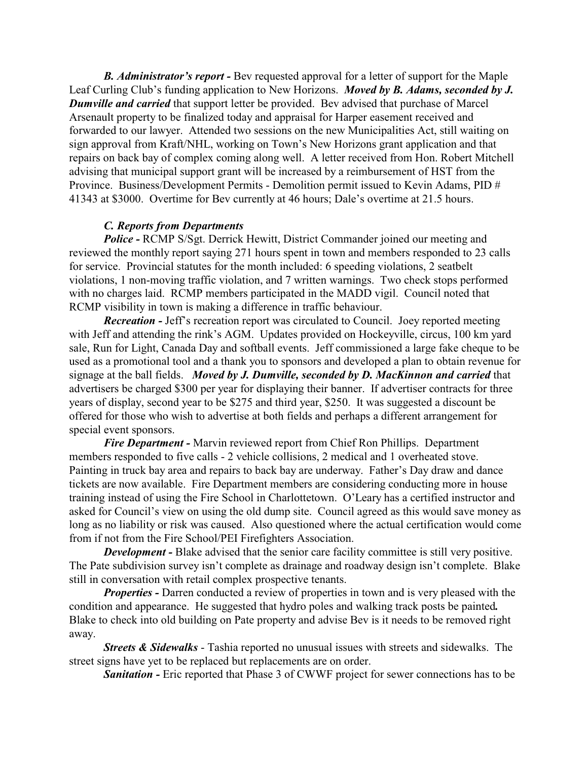*B. Administrator's report -* Bev requested approval for a letter of support for the Maple Leaf Curling Club's funding application to New Horizons. *Moved by B. Adams, seconded by J. Dumville and carried* that support letter be provided. Bev advised that purchase of Marcel Arsenault property to be finalized today and appraisal for Harper easement received and forwarded to our lawyer. Attended two sessions on the new Municipalities Act, still waiting on sign approval from Kraft/NHL, working on Town's New Horizons grant application and that repairs on back bay of complex coming along well. A letter received from Hon. Robert Mitchell advising that municipal support grant will be increased by a reimbursement of HST from the Province. Business/Development Permits - Demolition permit issued to Kevin Adams, PID # 41343 at \$3000. Overtime for Bev currently at 46 hours; Dale's overtime at 21.5 hours.

#### *C. Reports from Departments*

*Police -* RCMP S/Sgt. Derrick Hewitt, District Commander joined our meeting and reviewed the monthly report saying 271 hours spent in town and members responded to 23 calls for service. Provincial statutes for the month included: 6 speeding violations, 2 seatbelt violations, 1 non-moving traffic violation, and 7 written warnings. Two check stops performed with no charges laid. RCMP members participated in the MADD vigil. Council noted that RCMP visibility in town is making a difference in traffic behaviour.

*Recreation -* Jeff's recreation report was circulated to Council. Joey reported meeting with Jeff and attending the rink's AGM. Updates provided on Hockeyville, circus, 100 km yard sale, Run for Light, Canada Day and softball events. Jeff commissioned a large fake cheque to be used as a promotional tool and a thank you to sponsors and developed a plan to obtain revenue for signage at the ball fields. *Moved by J. Dumville, seconded by D. MacKinnon and carried* that advertisers be charged \$300 per year for displaying their banner. If advertiser contracts for three years of display, second year to be \$275 and third year, \$250. It was suggested a discount be offered for those who wish to advertise at both fields and perhaps a different arrangement for special event sponsors.

*Fire Department -* Marvin reviewed report from Chief Ron Phillips. Department members responded to five calls - 2 vehicle collisions, 2 medical and 1 overheated stove. Painting in truck bay area and repairs to back bay are underway. Father's Day draw and dance tickets are now available. Fire Department members are considering conducting more in house training instead of using the Fire School in Charlottetown. O'Leary has a certified instructor and asked for Council's view on using the old dump site. Council agreed as this would save money as long as no liability or risk was caused. Also questioned where the actual certification would come from if not from the Fire School/PEI Firefighters Association.

*Development* - Blake advised that the senior care facility committee is still very positive. The Pate subdivision survey isn't complete as drainage and roadway design isn't complete. Blake still in conversation with retail complex prospective tenants.

*Properties* - Darren conducted a review of properties in town and is very pleased with the condition and appearance. He suggested that hydro poles and walking track posts be painted*.* Blake to check into old building on Pate property and advise Bev is it needs to be removed right away.

*Streets & Sidewalks* - Tashia reported no unusual issues with streets and sidewalks. The street signs have yet to be replaced but replacements are on order.

**Sanitation -** Eric reported that Phase 3 of CWWF project for sewer connections has to be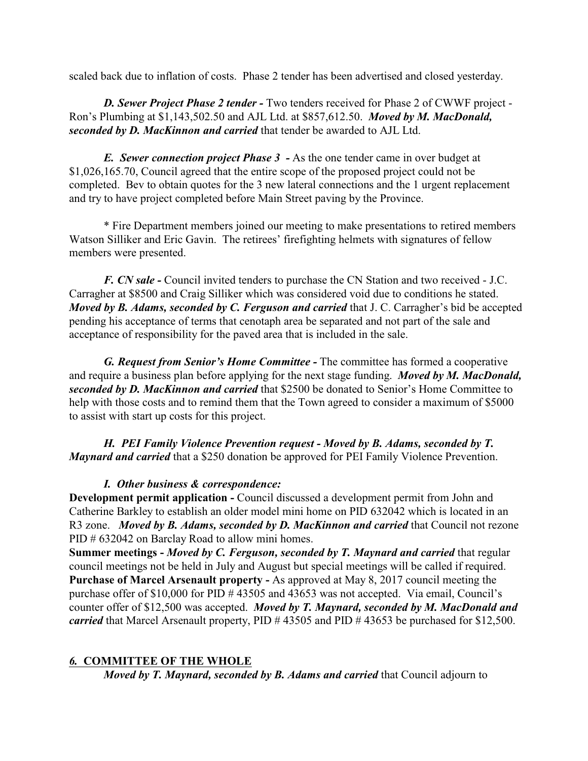scaled back due to inflation of costs. Phase 2 tender has been advertised and closed yesterday.

*D. Sewer Project Phase 2 tender -* Two tenders received for Phase 2 of CWWF project - Ron's Plumbing at \$1,143,502.50 and AJL Ltd. at \$857,612.50. *Moved by M. MacDonald, seconded by D. MacKinnon and carried* that tender be awarded to AJL Ltd.

*E. Sewer connection project Phase 3 -* As the one tender came in over budget at \$1,026,165.70, Council agreed that the entire scope of the proposed project could not be completed. Bev to obtain quotes for the 3 new lateral connections and the 1 urgent replacement and try to have project completed before Main Street paving by the Province.

\* Fire Department members joined our meeting to make presentations to retired members Watson Silliker and Eric Gavin. The retirees' firefighting helmets with signatures of fellow members were presented.

*F. CN sale -* Council invited tenders to purchase the CN Station and two received - J.C. Carragher at \$8500 and Craig Silliker which was considered void due to conditions he stated. *Moved by B. Adams, seconded by C. Ferguson and carried that J. C. Carragher's bid be accepted* pending his acceptance of terms that cenotaph area be separated and not part of the sale and acceptance of responsibility for the paved area that is included in the sale.

*G. Request from Senior's Home Committee -* The committee has formed a cooperative and require a business plan before applying for the next stage funding. *Moved by M. MacDonald, seconded by D. MacKinnon and carried* that \$2500 be donated to Senior's Home Committee to help with those costs and to remind them that the Town agreed to consider a maximum of \$5000 to assist with start up costs for this project.

*H. PEI Family Violence Prevention request - Moved by B. Adams, seconded by T. Maynard and carried* that a \$250 donation be approved for PEI Family Violence Prevention.

## *I. Other business & correspondence:*

**Development permit application - Council discussed a development permit from John and** Catherine Barkley to establish an older model mini home on PID 632042 which is located in an R3 zone. *Moved by B. Adams, seconded by D. MacKinnon and carried* that Council not rezone PID # 632042 on Barclay Road to allow mini homes.

**Summer meetings -** *Moved by C. Ferguson, seconded by T. Maynard and carried* that regular council meetings not be held in July and August but special meetings will be called if required. **Purchase of Marcel Arsenault property -** As approved at May 8, 2017 council meeting the purchase offer of \$10,000 for PID # 43505 and 43653 was not accepted. Via email, Council's counter offer of \$12,500 was accepted. *Moved by T. Maynard, seconded by M. MacDonald and carried* that Marcel Arsenault property, PID # 43505 and PID # 43653 be purchased for \$12,500.

# *6.* **COMMITTEE OF THE WHOLE**

*Moved by T. Maynard, seconded by B. Adams and carried* that Council adjourn to